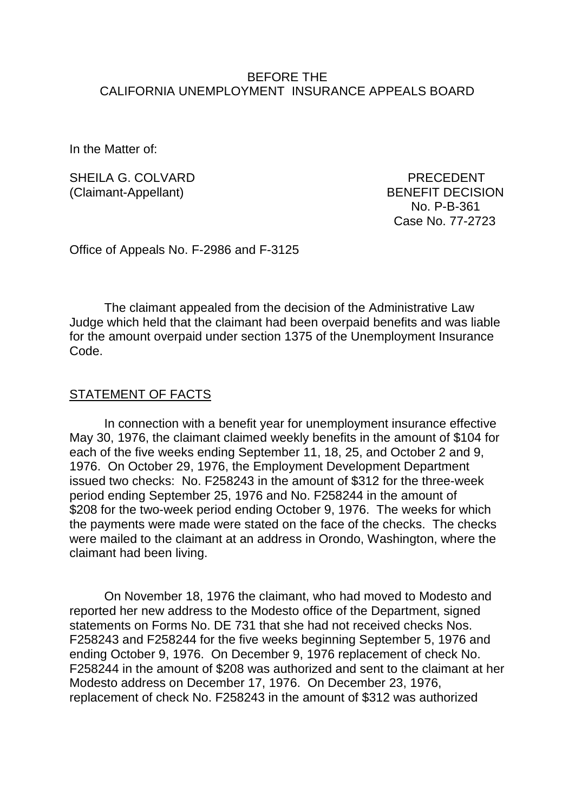### BEFORE THE CALIFORNIA UNEMPLOYMENT INSURANCE APPEALS BOARD

In the Matter of:

SHEILA G. COLVARD **PRECEDENT** (Claimant-Appellant) BENEFIT DECISION

 No. P-B-361 Case No. 77-2723

Office of Appeals No. F-2986 and F-3125

The claimant appealed from the decision of the Administrative Law Judge which held that the claimant had been overpaid benefits and was liable for the amount overpaid under section 1375 of the Unemployment Insurance Code.

#### STATEMENT OF FACTS

In connection with a benefit year for unemployment insurance effective May 30, 1976, the claimant claimed weekly benefits in the amount of \$104 for each of the five weeks ending September 11, 18, 25, and October 2 and 9, 1976. On October 29, 1976, the Employment Development Department issued two checks: No. F258243 in the amount of \$312 for the three-week period ending September 25, 1976 and No. F258244 in the amount of \$208 for the two-week period ending October 9, 1976. The weeks for which the payments were made were stated on the face of the checks. The checks were mailed to the claimant at an address in Orondo, Washington, where the claimant had been living.

On November 18, 1976 the claimant, who had moved to Modesto and reported her new address to the Modesto office of the Department, signed statements on Forms No. DE 731 that she had not received checks Nos. F258243 and F258244 for the five weeks beginning September 5, 1976 and ending October 9, 1976. On December 9, 1976 replacement of check No. F258244 in the amount of \$208 was authorized and sent to the claimant at her Modesto address on December 17, 1976. On December 23, 1976, replacement of check No. F258243 in the amount of \$312 was authorized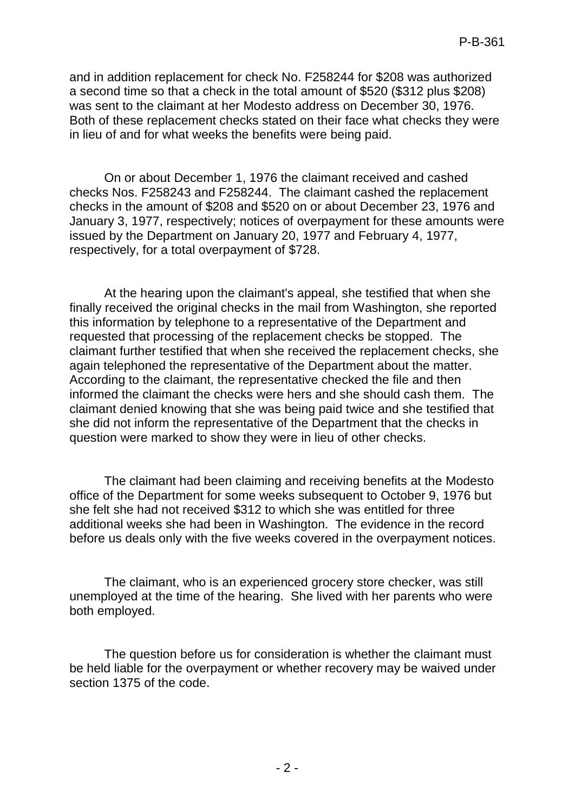and in addition replacement for check No. F258244 for \$208 was authorized a second time so that a check in the total amount of \$520 (\$312 plus \$208) was sent to the claimant at her Modesto address on December 30, 1976. Both of these replacement checks stated on their face what checks they were in lieu of and for what weeks the benefits were being paid.

On or about December 1, 1976 the claimant received and cashed checks Nos. F258243 and F258244. The claimant cashed the replacement checks in the amount of \$208 and \$520 on or about December 23, 1976 and January 3, 1977, respectively; notices of overpayment for these amounts were issued by the Department on January 20, 1977 and February 4, 1977, respectively, for a total overpayment of \$728.

At the hearing upon the claimant's appeal, she testified that when she finally received the original checks in the mail from Washington, she reported this information by telephone to a representative of the Department and requested that processing of the replacement checks be stopped. The claimant further testified that when she received the replacement checks, she again telephoned the representative of the Department about the matter. According to the claimant, the representative checked the file and then informed the claimant the checks were hers and she should cash them. The claimant denied knowing that she was being paid twice and she testified that she did not inform the representative of the Department that the checks in question were marked to show they were in lieu of other checks.

The claimant had been claiming and receiving benefits at the Modesto office of the Department for some weeks subsequent to October 9, 1976 but she felt she had not received \$312 to which she was entitled for three additional weeks she had been in Washington. The evidence in the record before us deals only with the five weeks covered in the overpayment notices.

The claimant, who is an experienced grocery store checker, was still unemployed at the time of the hearing. She lived with her parents who were both employed.

The question before us for consideration is whether the claimant must be held liable for the overpayment or whether recovery may be waived under section 1375 of the code.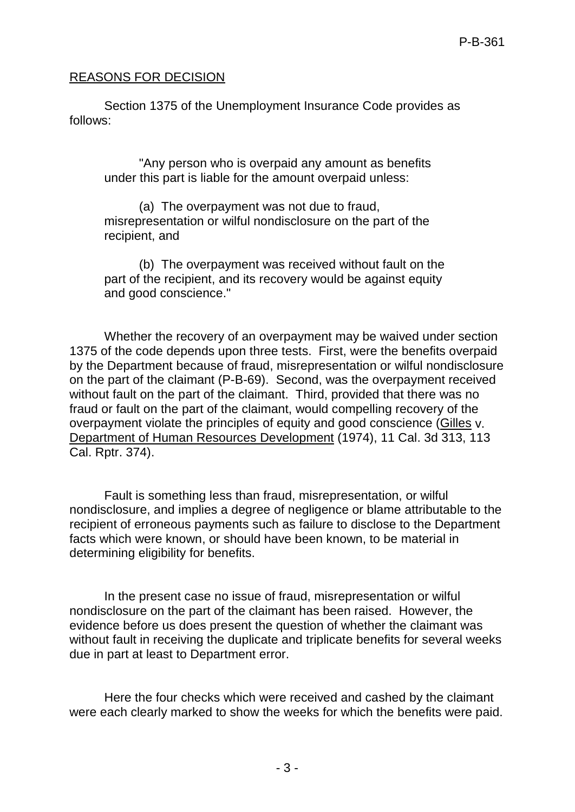# REASONS FOR DECISION

Section 1375 of the Unemployment Insurance Code provides as follows:

"Any person who is overpaid any amount as benefits under this part is liable for the amount overpaid unless:

(a) The overpayment was not due to fraud, misrepresentation or wilful nondisclosure on the part of the recipient, and

(b) The overpayment was received without fault on the part of the recipient, and its recovery would be against equity and good conscience."

Whether the recovery of an overpayment may be waived under section 1375 of the code depends upon three tests. First, were the benefits overpaid by the Department because of fraud, misrepresentation or wilful nondisclosure on the part of the claimant (P-B-69). Second, was the overpayment received without fault on the part of the claimant. Third, provided that there was no fraud or fault on the part of the claimant, would compelling recovery of the overpayment violate the principles of equity and good conscience (Gilles v. Department of Human Resources Development (1974), 11 Cal. 3d 313, 113 Cal. Rptr. 374).

Fault is something less than fraud, misrepresentation, or wilful nondisclosure, and implies a degree of negligence or blame attributable to the recipient of erroneous payments such as failure to disclose to the Department facts which were known, or should have been known, to be material in determining eligibility for benefits.

In the present case no issue of fraud, misrepresentation or wilful nondisclosure on the part of the claimant has been raised. However, the evidence before us does present the question of whether the claimant was without fault in receiving the duplicate and triplicate benefits for several weeks due in part at least to Department error.

Here the four checks which were received and cashed by the claimant were each clearly marked to show the weeks for which the benefits were paid.